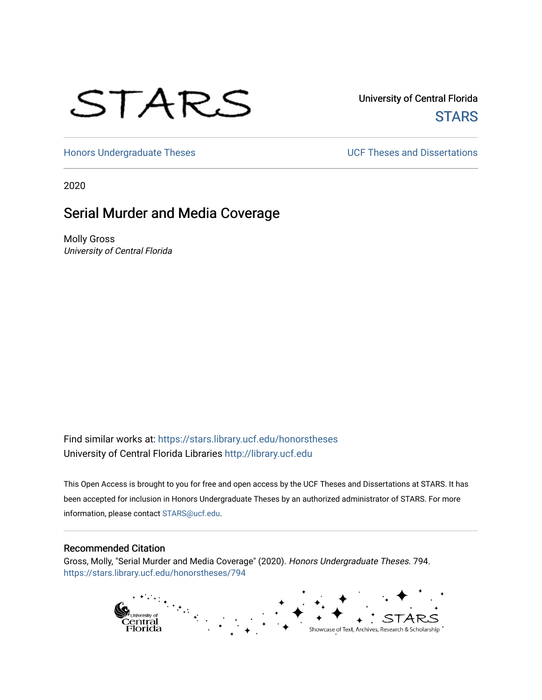# STARS

University of Central Florida **STARS** 

[Honors Undergraduate Theses](https://stars.library.ucf.edu/honorstheses) **Exercise 2 and Serverse** UCF Theses and Dissertations

2020

# Serial Murder and Media Coverage

Molly Gross University of Central Florida

Find similar works at: <https://stars.library.ucf.edu/honorstheses> University of Central Florida Libraries [http://library.ucf.edu](http://library.ucf.edu/) 

This Open Access is brought to you for free and open access by the UCF Theses and Dissertations at STARS. It has been accepted for inclusion in Honors Undergraduate Theses by an authorized administrator of STARS. For more information, please contact [STARS@ucf.edu.](mailto:STARS@ucf.edu)

#### Recommended Citation

Gross, Molly, "Serial Murder and Media Coverage" (2020). Honors Undergraduate Theses. 794. [https://stars.library.ucf.edu/honorstheses/794](https://stars.library.ucf.edu/honorstheses/794?utm_source=stars.library.ucf.edu%2Fhonorstheses%2F794&utm_medium=PDF&utm_campaign=PDFCoverPages) 

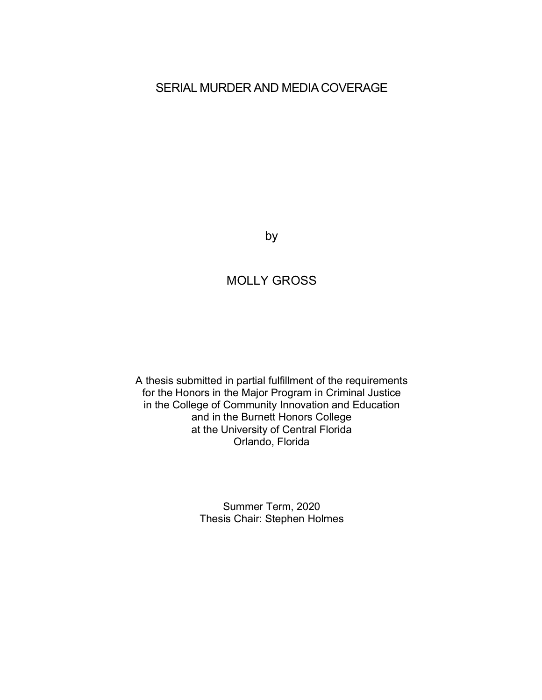# SERIAL MURDER AND MEDIA COVERAGE

by

# MOLLY GROSS

A thesis submitted in partial fulfillment of the requirements for the Honors in the Major Program in Criminal Justice in the College of Community Innovation and Education and in the Burnett Honors College at the University of Central Florida Orlando, Florida

> Summer Term, 2020 Thesis Chair: Stephen Holmes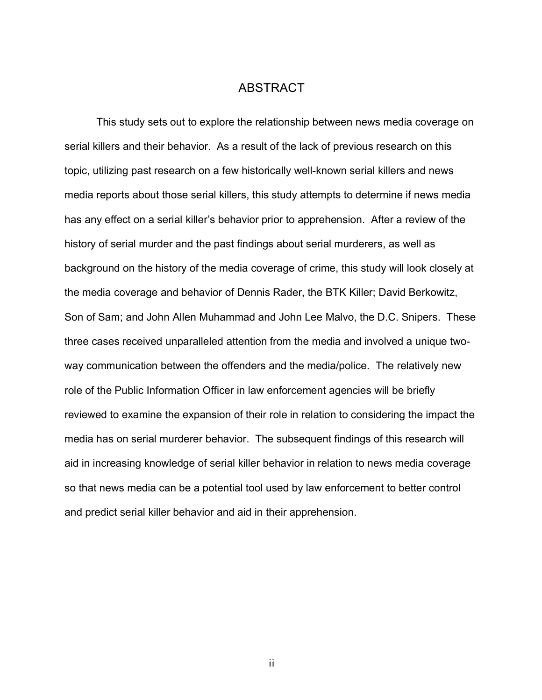# ABSTRACT

This study sets out to explore the relationship between news media coverage on serial killers and their behavior. As a result of the lack of previous research on this topic, utilizing past research on a few historically well-known serial killers and news media reports about those serial killers, this study attempts to determine if news media has any effect on a serial killer's behavior prior to apprehension. After a review of the history of serial murder and the past findings about serial murderers, as well as background on the history of the media coverage of crime, this study will look closely at the media coverage and behavior of Dennis Rader, the BTK Killer; David Berkowitz, Son of Sam; and John Allen Muhammad and John Lee Malvo, the D.C. Snipers. These three cases received unparalleled attention from the media and involved a unique twoway communication between the offenders and the media/police. The relatively new role of the Public Information Officer in law enforcement agencies will be briefly reviewed to examine the expansion of their role in relation to considering the impact the media has on serial murderer behavior. The subsequent findings of this research will aid in increasing knowledge of serial killer behavior in relation to news media coverage so that news media can be a potential tool used by law enforcement to better control and predict serial killer behavior and aid in their apprehension.

ii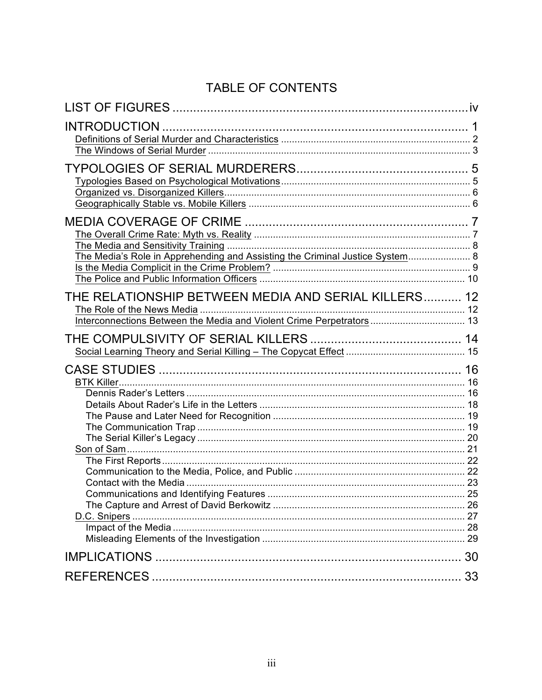# TABLE OF CONTENTS

| The Media's Role in Apprehending and Assisting the Criminal Justice System 8                                                 |    |
|------------------------------------------------------------------------------------------------------------------------------|----|
| THE RELATIONSHIP BETWEEN MEDIA AND SERIAL KILLERS 12<br>Interconnections Between the Media and Violent Crime Perpetrators 13 |    |
|                                                                                                                              |    |
| <b>Communications and Identifying Features</b>                                                                               |    |
|                                                                                                                              | 30 |
|                                                                                                                              | 33 |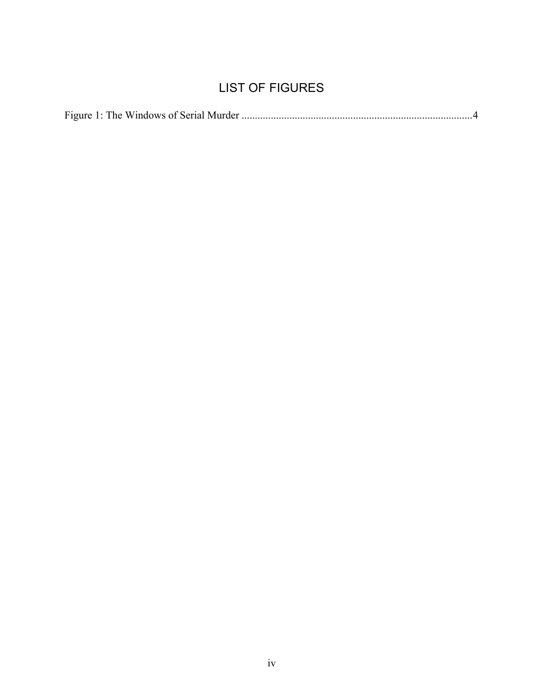# LIST OF FIGURES

|--|--|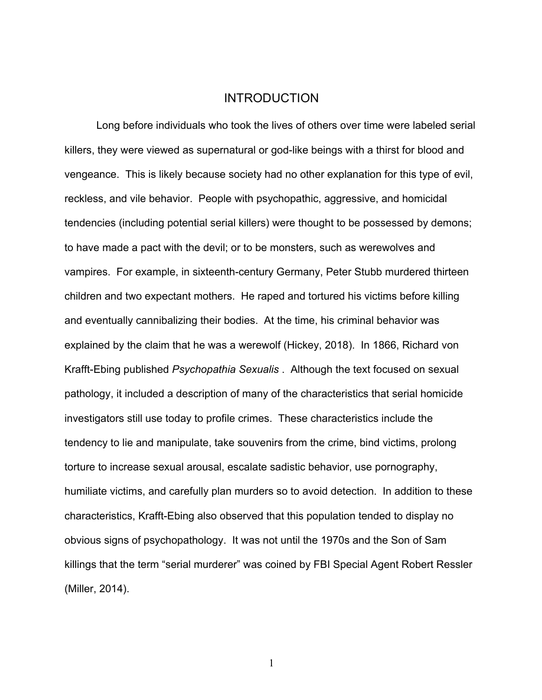# INTRODUCTION

Long before individuals who took the lives of others over time were labeled serial killers, they were viewed as supernatural or god-like beings with a thirst for blood and vengeance. This is likely because society had no other explanation for this type of evil, reckless, and vile behavior. People with psychopathic, aggressive, and homicidal tendencies (including potential serial killers) were thought to be possessed by demons; to have made a pact with the devil; or to be monsters, such as werewolves and vampires. For example, in sixteenth-century Germany, Peter Stubb murdered thirteen children and two expectant mothers. He raped and tortured his victims before killing and eventually cannibalizing their bodies. At the time, his criminal behavior was explained by the claim that he was a werewolf (Hickey, 2018). In 1866, Richard von Krafft-Ebing published *Psychopathia Sexualis* . Although the text focused on sexual pathology, it included a description of many of the characteristics that serial homicide investigators still use today to profile crimes. These characteristics include the tendency to lie and manipulate, take souvenirs from the crime, bind victims, prolong torture to increase sexual arousal, escalate sadistic behavior, use pornography, humiliate victims, and carefully plan murders so to avoid detection. In addition to these characteristics, Krafft-Ebing also observed that this population tended to display no obvious signs of psychopathology. It was not until the 1970s and the Son of Sam killings that the term "serial murderer" was coined by FBI Special Agent Robert Ressler (Miller, 2014).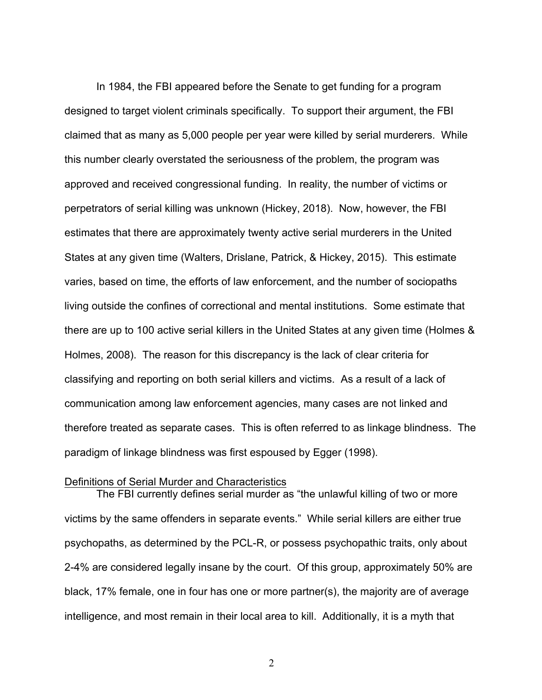In 1984, the FBI appeared before the Senate to get funding for a program designed to target violent criminals specifically. To support their argument, the FBI claimed that as many as 5,000 people per year were killed by serial murderers. While this number clearly overstated the seriousness of the problem, the program was approved and received congressional funding. In reality, the number of victims or perpetrators of serial killing was unknown (Hickey, 2018). Now, however, the FBI estimates that there are approximately twenty active serial murderers in the United States at any given time (Walters, Drislane, Patrick, & Hickey, 2015). This estimate varies, based on time, the efforts of law enforcement, and the number of sociopaths living outside the confines of correctional and mental institutions. Some estimate that there are up to 100 active serial killers in the United States at any given time (Holmes & Holmes, 2008). The reason for this discrepancy is the lack of clear criteria for classifying and reporting on both serial killers and victims. As a result of a lack of communication among law enforcement agencies, many cases are not linked and therefore treated as separate cases. This is often referred to as linkage blindness. The paradigm of linkage blindness was first espoused by Egger (1998).

## Definitions of Serial Murder and Characteristics

The FBI currently defines serial murder as "the unlawful killing of two or more victims by the same offenders in separate events." While serial killers are either true psychopaths, as determined by the PCL-R, or possess psychopathic traits, only about 2-4% are considered legally insane by the court. Of this group, approximately 50% are black, 17% female, one in four has one or more partner(s), the majority are of average intelligence, and most remain in their local area to kill. Additionally, it is a myth that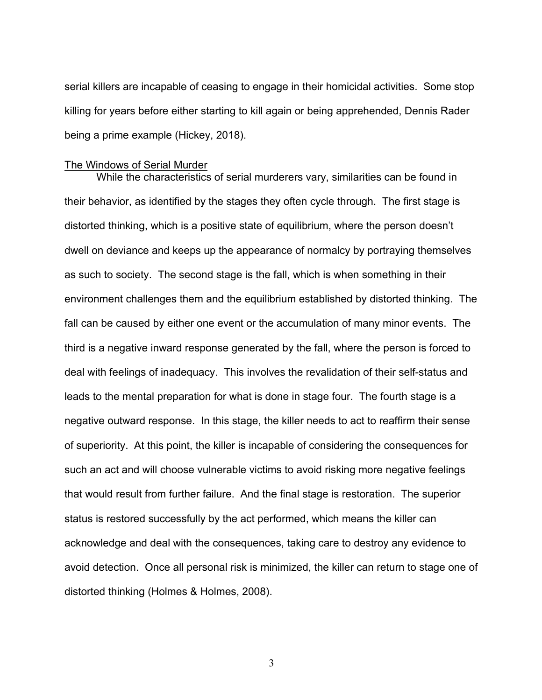serial killers are incapable of ceasing to engage in their homicidal activities. Some stop killing for years before either starting to kill again or being apprehended, Dennis Rader being a prime example (Hickey, 2018).

#### The Windows of Serial Murder

While the characteristics of serial murderers vary, similarities can be found in their behavior, as identified by the stages they often cycle through. The first stage is distorted thinking, which is a positive state of equilibrium, where the person doesn't dwell on deviance and keeps up the appearance of normalcy by portraying themselves as such to society. The second stage is the fall, which is when something in their environment challenges them and the equilibrium established by distorted thinking. The fall can be caused by either one event or the accumulation of many minor events. The third is a negative inward response generated by the fall, where the person is forced to deal with feelings of inadequacy. This involves the revalidation of their self-status and leads to the mental preparation for what is done in stage four. The fourth stage is a negative outward response. In this stage, the killer needs to act to reaffirm their sense of superiority. At this point, the killer is incapable of considering the consequences for such an act and will choose vulnerable victims to avoid risking more negative feelings that would result from further failure. And the final stage is restoration. The superior status is restored successfully by the act performed, which means the killer can acknowledge and deal with the consequences, taking care to destroy any evidence to avoid detection. Once all personal risk is minimized, the killer can return to stage one of distorted thinking (Holmes & Holmes, 2008).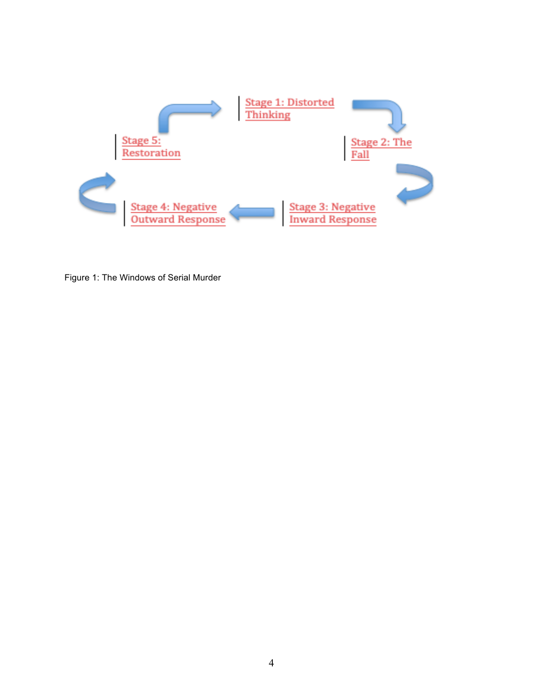

Figure 1: The Windows of Serial Murder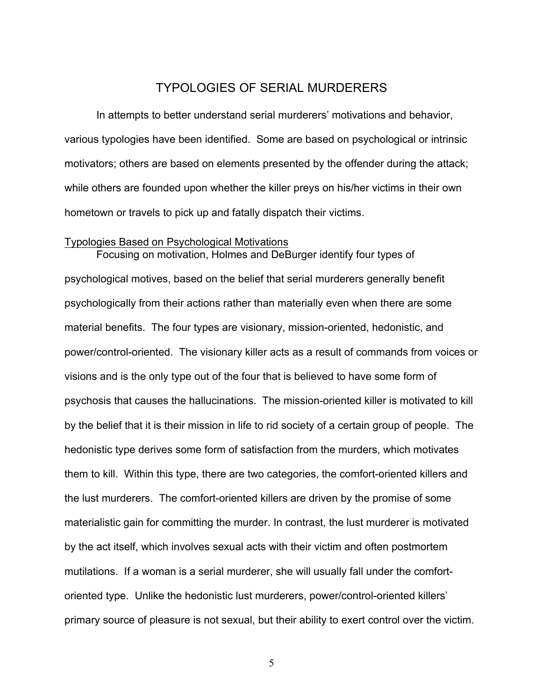# TYPOLOGIES OF SERIAL MURDERERS

In attempts to better understand serial murderers' motivations and behavior, various typologies have been identified. Some are based on psychological or intrinsic motivators; others are based on elements presented by the offender during the attack; while others are founded upon whether the killer preys on his/her victims in their own hometown or travels to pick up and fatally dispatch their victims.

#### Typologies Based on Psychological Motivations

Focusing on motivation, Holmes and DeBurger identify four types of psychological motives, based on the belief that serial murderers generally benefit psychologically from their actions rather than materially even when there are some material benefits. The four types are visionary, mission-oriented, hedonistic, and power/control-oriented. The visionary killer acts as a result of commands from voices or visions and is the only type out of the four that is believed to have some form of psychosis that causes the hallucinations. The mission-oriented killer is motivated to kill by the belief that it is their mission in life to rid society of a certain group of people. The hedonistic type derives some form of satisfaction from the murders, which motivates them to kill. Within this type, there are two categories, the comfort-oriented killers and the lust murderers. The comfort-oriented killers are driven by the promise of some materialistic gain for committing the murder. In contrast, the lust murderer is motivated by the act itself, which involves sexual acts with their victim and often postmortem mutilations. If a woman is a serial murderer, she will usually fall under the comfortoriented type. Unlike the hedonistic lust murderers, power/control-oriented killers' primary source of pleasure is not sexual, but their ability to exert control over the victim.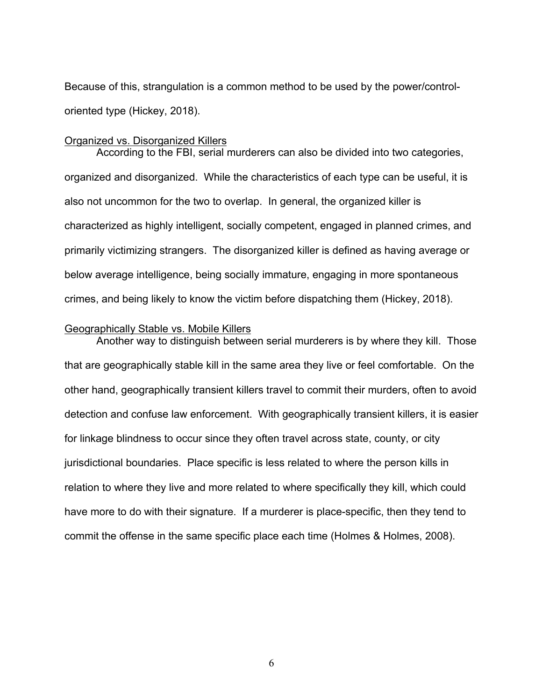Because of this, strangulation is a common method to be used by the power/controloriented type (Hickey, 2018).

## Organized vs. Disorganized Killers

According to the FBI, serial murderers can also be divided into two categories, organized and disorganized. While the characteristics of each type can be useful, it is also not uncommon for the two to overlap. In general, the organized killer is characterized as highly intelligent, socially competent, engaged in planned crimes, and primarily victimizing strangers. The disorganized killer is defined as having average or below average intelligence, being socially immature, engaging in more spontaneous crimes, and being likely to know the victim before dispatching them (Hickey, 2018).

#### Geographically Stable vs. Mobile Killers

Another way to distinguish between serial murderers is by where they kill. Those that are geographically stable kill in the same area they live or feel comfortable. On the other hand, geographically transient killers travel to commit their murders, often to avoid detection and confuse law enforcement. With geographically transient killers, it is easier for linkage blindness to occur since they often travel across state, county, or city jurisdictional boundaries. Place specific is less related to where the person kills in relation to where they live and more related to where specifically they kill, which could have more to do with their signature. If a murderer is place-specific, then they tend to commit the offense in the same specific place each time (Holmes & Holmes, 2008).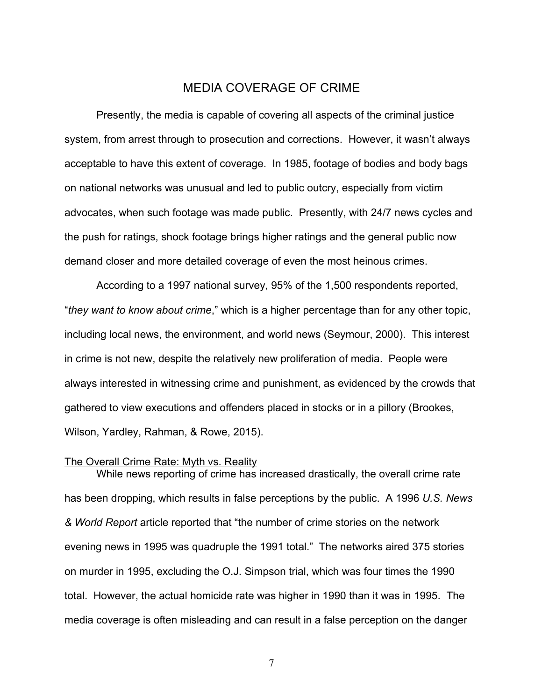# MEDIA COVERAGE OF CRIME

Presently, the media is capable of covering all aspects of the criminal justice system, from arrest through to prosecution and corrections. However, it wasn't always acceptable to have this extent of coverage. In 1985, footage of bodies and body bags on national networks was unusual and led to public outcry, especially from victim advocates, when such footage was made public. Presently, with 24/7 news cycles and the push for ratings, shock footage brings higher ratings and the general public now demand closer and more detailed coverage of even the most heinous crimes.

According to a 1997 national survey, 95% of the 1,500 respondents reported, "*they want to know about crime*," which is a higher percentage than for any other topic, including local news, the environment, and world news (Seymour, 2000). This interest in crime is not new, despite the relatively new proliferation of media. People were always interested in witnessing crime and punishment, as evidenced by the crowds that gathered to view executions and offenders placed in stocks or in a pillory (Brookes, Wilson, Yardley, Rahman, & Rowe, 2015).

# The Overall Crime Rate: Myth vs. Reality

While news reporting of crime has increased drastically, the overall crime rate has been dropping, which results in false perceptions by the public. A 1996 *U.S. News & World Report* article reported that "the number of crime stories on the network evening news in 1995 was quadruple the 1991 total." The networks aired 375 stories on murder in 1995, excluding the O.J. Simpson trial, which was four times the 1990 total. However, the actual homicide rate was higher in 1990 than it was in 1995. The media coverage is often misleading and can result in a false perception on the danger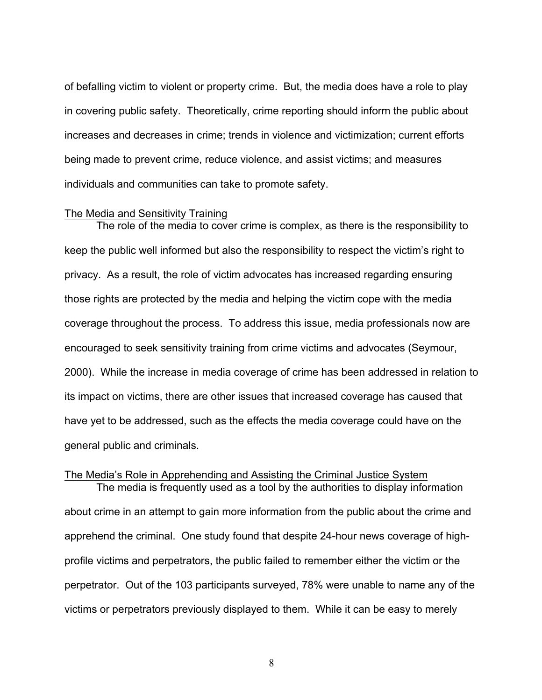of befalling victim to violent or property crime. But, the media does have a role to play in covering public safety. Theoretically, crime reporting should inform the public about increases and decreases in crime; trends in violence and victimization; current efforts being made to prevent crime, reduce violence, and assist victims; and measures individuals and communities can take to promote safety.

## The Media and Sensitivity Training

The role of the media to cover crime is complex, as there is the responsibility to keep the public well informed but also the responsibility to respect the victim's right to privacy. As a result, the role of victim advocates has increased regarding ensuring those rights are protected by the media and helping the victim cope with the media coverage throughout the process. To address this issue, media professionals now are encouraged to seek sensitivity training from crime victims and advocates (Seymour, 2000). While the increase in media coverage of crime has been addressed in relation to its impact on victims, there are other issues that increased coverage has caused that have yet to be addressed, such as the effects the media coverage could have on the general public and criminals.

## The Media's Role in Apprehending and Assisting the Criminal Justice System The media is frequently used as a tool by the authorities to display information

about crime in an attempt to gain more information from the public about the crime and apprehend the criminal. One study found that despite 24-hour news coverage of highprofile victims and perpetrators, the public failed to remember either the victim or the perpetrator. Out of the 103 participants surveyed, 78% were unable to name any of the victims or perpetrators previously displayed to them. While it can be easy to merely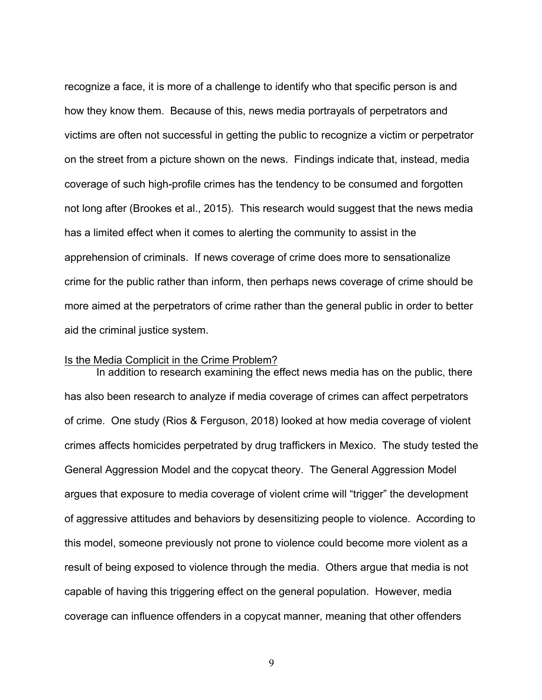recognize a face, it is more of a challenge to identify who that specific person is and how they know them. Because of this, news media portrayals of perpetrators and victims are often not successful in getting the public to recognize a victim or perpetrator on the street from a picture shown on the news. Findings indicate that, instead, media coverage of such high-profile crimes has the tendency to be consumed and forgotten not long after (Brookes et al., 2015). This research would suggest that the news media has a limited effect when it comes to alerting the community to assist in the apprehension of criminals. If news coverage of crime does more to sensationalize crime for the public rather than inform, then perhaps news coverage of crime should be more aimed at the perpetrators of crime rather than the general public in order to better aid the criminal justice system.

#### Is the Media Complicit in the Crime Problem?

In addition to research examining the effect news media has on the public, there has also been research to analyze if media coverage of crimes can affect perpetrators of crime. One study (Rios & Ferguson, 2018) looked at how media coverage of violent crimes affects homicides perpetrated by drug traffickers in Mexico. The study tested the General Aggression Model and the copycat theory. The General Aggression Model argues that exposure to media coverage of violent crime will "trigger" the development of aggressive attitudes and behaviors by desensitizing people to violence. According to this model, someone previously not prone to violence could become more violent as a result of being exposed to violence through the media. Others argue that media is not capable of having this triggering effect on the general population. However, media coverage can influence offenders in a copycat manner, meaning that other offenders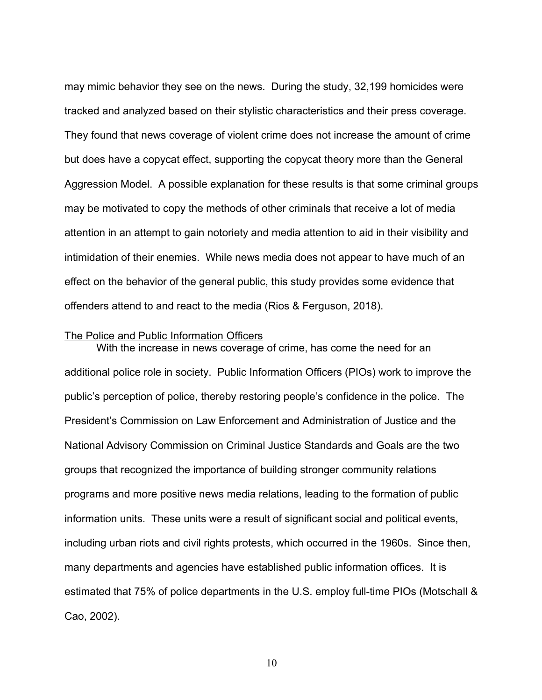may mimic behavior they see on the news. During the study, 32,199 homicides were tracked and analyzed based on their stylistic characteristics and their press coverage. They found that news coverage of violent crime does not increase the amount of crime but does have a copycat effect, supporting the copycat theory more than the General Aggression Model. A possible explanation for these results is that some criminal groups may be motivated to copy the methods of other criminals that receive a lot of media attention in an attempt to gain notoriety and media attention to aid in their visibility and intimidation of their enemies. While news media does not appear to have much of an effect on the behavior of the general public, this study provides some evidence that offenders attend to and react to the media (Rios & Ferguson, 2018).

## The Police and Public Information Officers

With the increase in news coverage of crime, has come the need for an additional police role in society. Public Information Officers (PIOs) work to improve the public's perception of police, thereby restoring people's confidence in the police. The President's Commission on Law Enforcement and Administration of Justice and the National Advisory Commission on Criminal Justice Standards and Goals are the two groups that recognized the importance of building stronger community relations programs and more positive news media relations, leading to the formation of public information units. These units were a result of significant social and political events, including urban riots and civil rights protests, which occurred in the 1960s. Since then, many departments and agencies have established public information offices. It is estimated that 75% of police departments in the U.S. employ full-time PIOs (Motschall & Cao, 2002).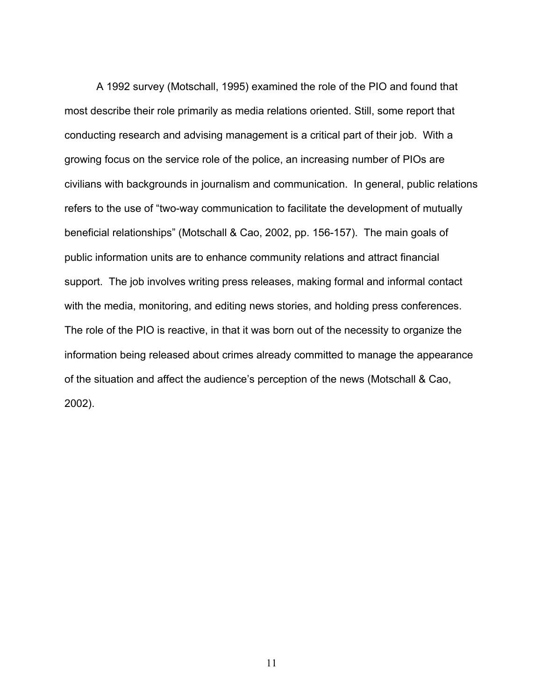A 1992 survey (Motschall, 1995) examined the role of the PIO and found that most describe their role primarily as media relations oriented. Still, some report that conducting research and advising management is a critical part of their job. With a growing focus on the service role of the police, an increasing number of PIOs are civilians with backgrounds in journalism and communication. In general, public relations refers to the use of "two-way communication to facilitate the development of mutually beneficial relationships" (Motschall & Cao, 2002, pp. 156-157). The main goals of public information units are to enhance community relations and attract financial support. The job involves writing press releases, making formal and informal contact with the media, monitoring, and editing news stories, and holding press conferences. The role of the PIO is reactive, in that it was born out of the necessity to organize the information being released about crimes already committed to manage the appearance of the situation and affect the audience's perception of the news (Motschall & Cao, 2002).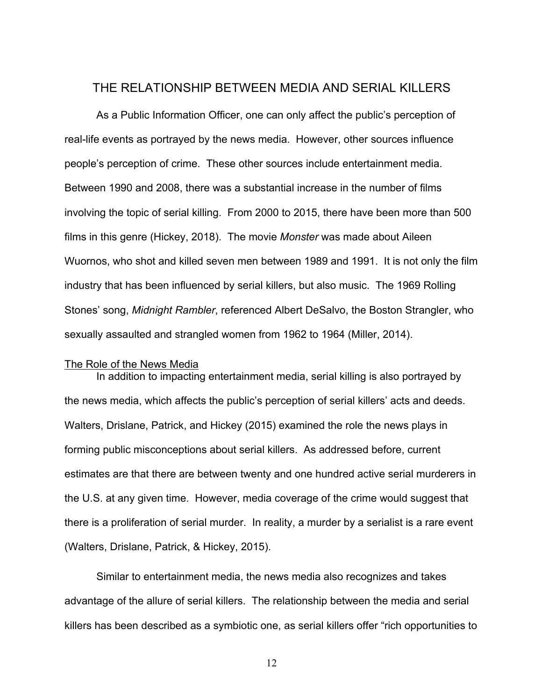# THE RELATIONSHIP BETWEEN MEDIA AND SERIAL KILLERS

As a Public Information Officer, one can only affect the public's perception of real-life events as portrayed by the news media. However, other sources influence people's perception of crime. These other sources include entertainment media. Between 1990 and 2008, there was a substantial increase in the number of films involving the topic of serial killing. From 2000 to 2015, there have been more than 500 films in this genre (Hickey, 2018). The movie *Monster* was made about Aileen Wuornos, who shot and killed seven men between 1989 and 1991. It is not only the film industry that has been influenced by serial killers, but also music. The 1969 Rolling Stones' song, *Midnight Rambler*, referenced Albert DeSalvo, the Boston Strangler, who sexually assaulted and strangled women from 1962 to 1964 (Miller, 2014).

## The Role of the News Media

In addition to impacting entertainment media, serial killing is also portrayed by the news media, which affects the public's perception of serial killers' acts and deeds. Walters, Drislane, Patrick, and Hickey (2015) examined the role the news plays in forming public misconceptions about serial killers. As addressed before, current estimates are that there are between twenty and one hundred active serial murderers in the U.S. at any given time. However, media coverage of the crime would suggest that there is a proliferation of serial murder. In reality, a murder by a serialist is a rare event (Walters, Drislane, Patrick, & Hickey, 2015).

Similar to entertainment media, the news media also recognizes and takes advantage of the allure of serial killers. The relationship between the media and serial killers has been described as a symbiotic one, as serial killers offer "rich opportunities to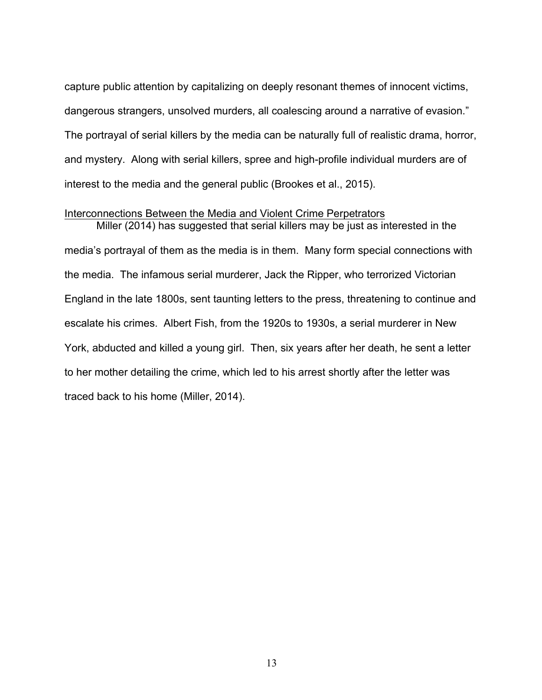capture public attention by capitalizing on deeply resonant themes of innocent victims, dangerous strangers, unsolved murders, all coalescing around a narrative of evasion." The portrayal of serial killers by the media can be naturally full of realistic drama, horror, and mystery. Along with serial killers, spree and high-profile individual murders are of interest to the media and the general public (Brookes et al., 2015).

# Interconnections Between the Media and Violent Crime Perpetrators

Miller (2014) has suggested that serial killers may be just as interested in the media's portrayal of them as the media is in them. Many form special connections with the media. The infamous serial murderer, Jack the Ripper, who terrorized Victorian England in the late 1800s, sent taunting letters to the press, threatening to continue and escalate his crimes. Albert Fish, from the 1920s to 1930s, a serial murderer in New York, abducted and killed a young girl. Then, six years after her death, he sent a letter to her mother detailing the crime, which led to his arrest shortly after the letter was traced back to his home (Miller, 2014).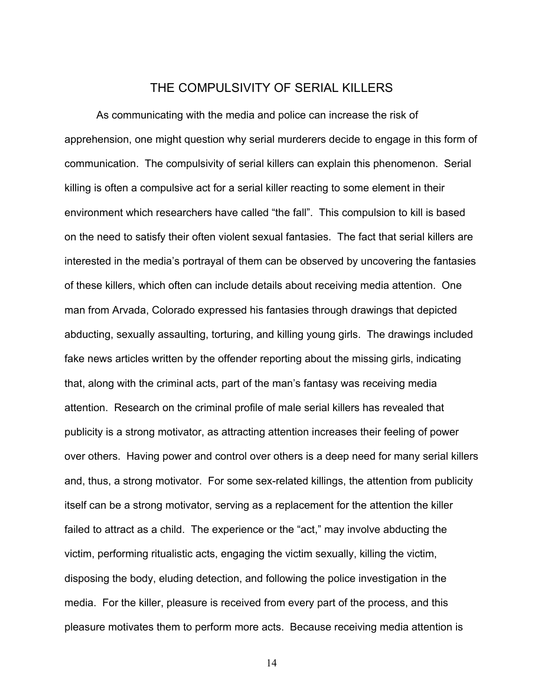# THE COMPULSIVITY OF SERIAL KILLERS

As communicating with the media and police can increase the risk of apprehension, one might question why serial murderers decide to engage in this form of communication. The compulsivity of serial killers can explain this phenomenon. Serial killing is often a compulsive act for a serial killer reacting to some element in their environment which researchers have called "the fall". This compulsion to kill is based on the need to satisfy their often violent sexual fantasies. The fact that serial killers are interested in the media's portrayal of them can be observed by uncovering the fantasies of these killers, which often can include details about receiving media attention. One man from Arvada, Colorado expressed his fantasies through drawings that depicted abducting, sexually assaulting, torturing, and killing young girls. The drawings included fake news articles written by the offender reporting about the missing girls, indicating that, along with the criminal acts, part of the man's fantasy was receiving media attention. Research on the criminal profile of male serial killers has revealed that publicity is a strong motivator, as attracting attention increases their feeling of power over others. Having power and control over others is a deep need for many serial killers and, thus, a strong motivator. For some sex-related killings, the attention from publicity itself can be a strong motivator, serving as a replacement for the attention the killer failed to attract as a child. The experience or the "act," may involve abducting the victim, performing ritualistic acts, engaging the victim sexually, killing the victim, disposing the body, eluding detection, and following the police investigation in the media. For the killer, pleasure is received from every part of the process, and this pleasure motivates them to perform more acts. Because receiving media attention is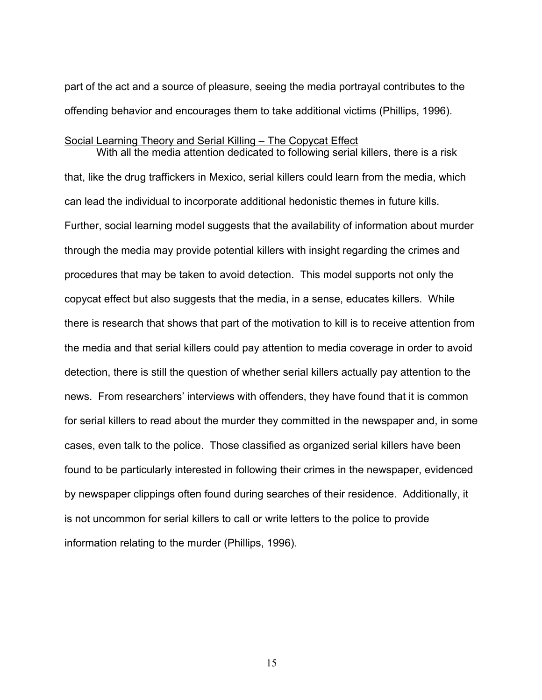part of the act and a source of pleasure, seeing the media portrayal contributes to the offending behavior and encourages them to take additional victims (Phillips, 1996).

# Social Learning Theory and Serial Killing – The Copycat Effect

With all the media attention dedicated to following serial killers, there is a risk that, like the drug traffickers in Mexico, serial killers could learn from the media, which can lead the individual to incorporate additional hedonistic themes in future kills. Further, social learning model suggests that the availability of information about murder through the media may provide potential killers with insight regarding the crimes and procedures that may be taken to avoid detection. This model supports not only the copycat effect but also suggests that the media, in a sense, educates killers. While there is research that shows that part of the motivation to kill is to receive attention from the media and that serial killers could pay attention to media coverage in order to avoid detection, there is still the question of whether serial killers actually pay attention to the news. From researchers' interviews with offenders, they have found that it is common for serial killers to read about the murder they committed in the newspaper and, in some cases, even talk to the police. Those classified as organized serial killers have been found to be particularly interested in following their crimes in the newspaper, evidenced by newspaper clippings often found during searches of their residence. Additionally, it is not uncommon for serial killers to call or write letters to the police to provide information relating to the murder (Phillips, 1996).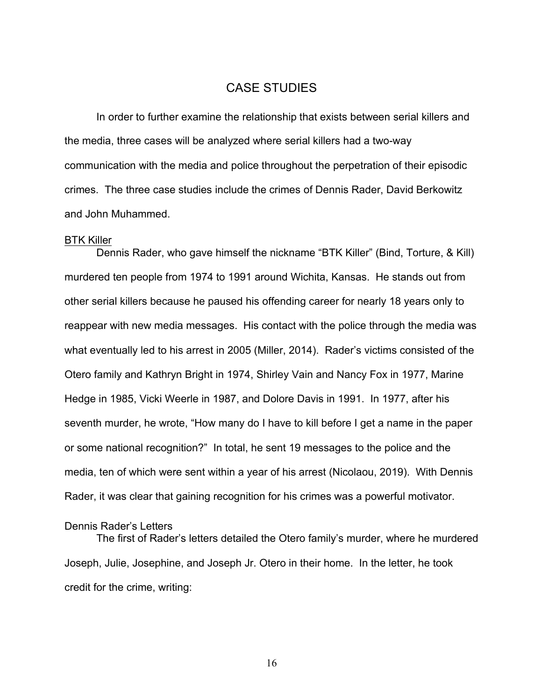# CASE STUDIES

In order to further examine the relationship that exists between serial killers and the media, three cases will be analyzed where serial killers had a two-way communication with the media and police throughout the perpetration of their episodic crimes. The three case studies include the crimes of Dennis Rader, David Berkowitz and John Muhammed.

#### BTK Killer

Dennis Rader, who gave himself the nickname "BTK Killer" (Bind, Torture, & Kill) murdered ten people from 1974 to 1991 around Wichita, Kansas. He stands out from other serial killers because he paused his offending career for nearly 18 years only to reappear with new media messages. His contact with the police through the media was what eventually led to his arrest in 2005 (Miller, 2014). Rader's victims consisted of the Otero family and Kathryn Bright in 1974, Shirley Vain and Nancy Fox in 1977, Marine Hedge in 1985, Vicki Weerle in 1987, and Dolore Davis in 1991. In 1977, after his seventh murder, he wrote, "How many do I have to kill before I get a name in the paper or some national recognition?" In total, he sent 19 messages to the police and the media, ten of which were sent within a year of his arrest (Nicolaou, 2019). With Dennis Rader, it was clear that gaining recognition for his crimes was a powerful motivator.

#### Dennis Rader's Letters

The first of Rader's letters detailed the Otero family's murder, where he murdered Joseph, Julie, Josephine, and Joseph Jr. Otero in their home. In the letter, he took credit for the crime, writing: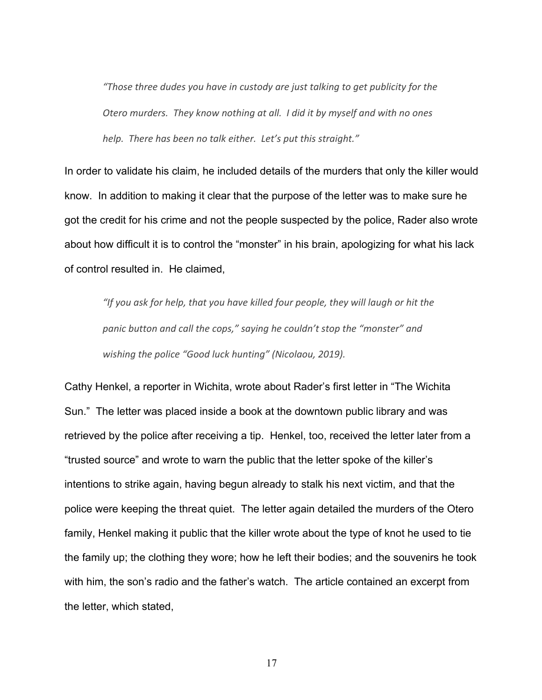*"Those three dudes you have in custody are just talking to get publicity for the Otero murders. They know nothing at all. I did it by myself and with no ones help. There has been no talk either. Let's put this straight."*

In order to validate his claim, he included details of the murders that only the killer would know. In addition to making it clear that the purpose of the letter was to make sure he got the credit for his crime and not the people suspected by the police, Rader also wrote about how difficult it is to control the "monster" in his brain, apologizing for what his lack of control resulted in. He claimed,

*"If you ask for help, that you have killed four people, they will laugh or hit the panic button and call the cops," saying he couldn't stop the "monster" and wishing the police "Good luck hunting" (Nicolaou, 2019).*

Cathy Henkel, a reporter in Wichita, wrote about Rader's first letter in "The Wichita Sun." The letter was placed inside a book at the downtown public library and was retrieved by the police after receiving a tip. Henkel, too, received the letter later from a "trusted source" and wrote to warn the public that the letter spoke of the killer's intentions to strike again, having begun already to stalk his next victim, and that the police were keeping the threat quiet. The letter again detailed the murders of the Otero family, Henkel making it public that the killer wrote about the type of knot he used to tie the family up; the clothing they wore; how he left their bodies; and the souvenirs he took with him, the son's radio and the father's watch. The article contained an excerpt from the letter, which stated,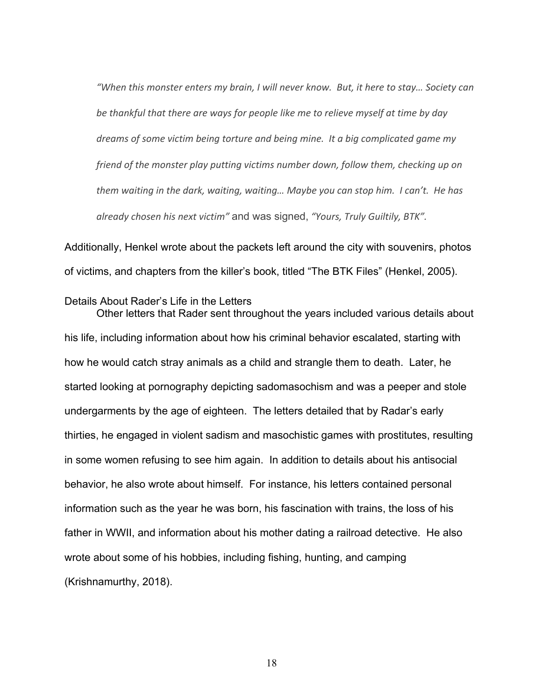*"When this monster enters my brain, I will never know. But, it here to stay… Society can be thankful that there are ways for people like me to relieve myself at time by day dreams of some victim being torture and being mine. It a big complicated game my friend of the monster play putting victims number down, follow them, checking up on them waiting in the dark, waiting, waiting… Maybe you can stop him. I can't. He has already chosen his next victim"* and was signed, *"Yours, Truly Guiltily, BTK".* 

Additionally, Henkel wrote about the packets left around the city with souvenirs, photos of victims, and chapters from the killer's book, titled "The BTK Files" (Henkel, 2005).

# Details About Rader's Life in the Letters

Other letters that Rader sent throughout the years included various details about his life, including information about how his criminal behavior escalated, starting with how he would catch stray animals as a child and strangle them to death. Later, he started looking at pornography depicting sadomasochism and was a peeper and stole undergarments by the age of eighteen. The letters detailed that by Radar's early thirties, he engaged in violent sadism and masochistic games with prostitutes, resulting in some women refusing to see him again. In addition to details about his antisocial behavior, he also wrote about himself. For instance, his letters contained personal information such as the year he was born, his fascination with trains, the loss of his father in WWII, and information about his mother dating a railroad detective. He also wrote about some of his hobbies, including fishing, hunting, and camping (Krishnamurthy, 2018).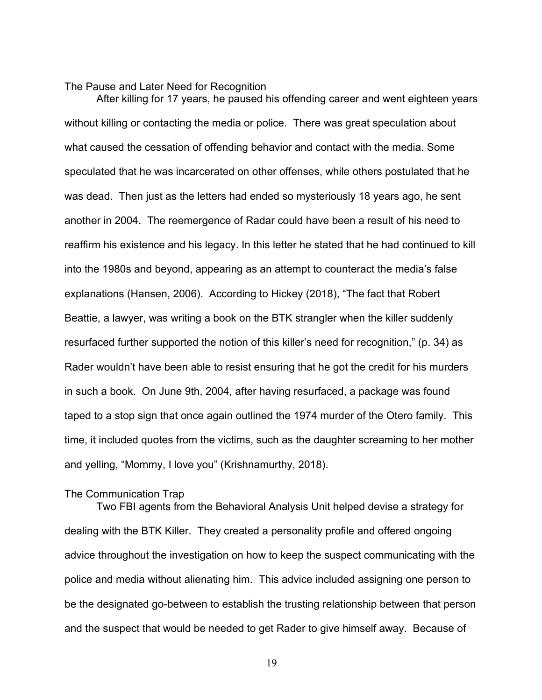The Pause and Later Need for Recognition

After killing for 17 years, he paused his offending career and went eighteen years without killing or contacting the media or police. There was great speculation about what caused the cessation of offending behavior and contact with the media. Some speculated that he was incarcerated on other offenses, while others postulated that he was dead. Then just as the letters had ended so mysteriously 18 years ago, he sent another in 2004. The reemergence of Radar could have been a result of his need to reaffirm his existence and his legacy. In this letter he stated that he had continued to kill into the 1980s and beyond, appearing as an attempt to counteract the media's false explanations (Hansen, 2006). According to Hickey (2018), "The fact that Robert Beattie, a lawyer, was writing a book on the BTK strangler when the killer suddenly resurfaced further supported the notion of this killer's need for recognition," (p. 34) as Rader wouldn't have been able to resist ensuring that he got the credit for his murders in such a book. On June 9th, 2004, after having resurfaced, a package was found taped to a stop sign that once again outlined the 1974 murder of the Otero family. This time, it included quotes from the victims, such as the daughter screaming to her mother and yelling, "Mommy, I love you" (Krishnamurthy, 2018).

#### The Communication Trap

Two FBI agents from the Behavioral Analysis Unit helped devise a strategy for dealing with the BTK Killer. They created a personality profile and offered ongoing advice throughout the investigation on how to keep the suspect communicating with the police and media without alienating him. This advice included assigning one person to be the designated go-between to establish the trusting relationship between that person and the suspect that would be needed to get Rader to give himself away. Because of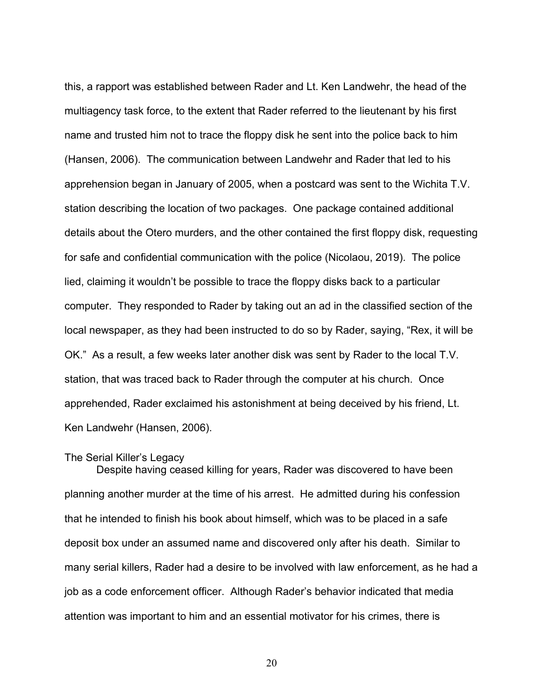this, a rapport was established between Rader and Lt. Ken Landwehr, the head of the multiagency task force, to the extent that Rader referred to the lieutenant by his first name and trusted him not to trace the floppy disk he sent into the police back to him (Hansen, 2006). The communication between Landwehr and Rader that led to his apprehension began in January of 2005, when a postcard was sent to the Wichita T.V. station describing the location of two packages. One package contained additional details about the Otero murders, and the other contained the first floppy disk, requesting for safe and confidential communication with the police (Nicolaou, 2019). The police lied, claiming it wouldn't be possible to trace the floppy disks back to a particular computer. They responded to Rader by taking out an ad in the classified section of the local newspaper, as they had been instructed to do so by Rader, saying, "Rex, it will be OK." As a result, a few weeks later another disk was sent by Rader to the local T.V. station, that was traced back to Rader through the computer at his church. Once apprehended, Rader exclaimed his astonishment at being deceived by his friend, Lt. Ken Landwehr (Hansen, 2006).

#### The Serial Killer's Legacy

Despite having ceased killing for years, Rader was discovered to have been planning another murder at the time of his arrest. He admitted during his confession that he intended to finish his book about himself, which was to be placed in a safe deposit box under an assumed name and discovered only after his death. Similar to many serial killers, Rader had a desire to be involved with law enforcement, as he had a job as a code enforcement officer. Although Rader's behavior indicated that media attention was important to him and an essential motivator for his crimes, there is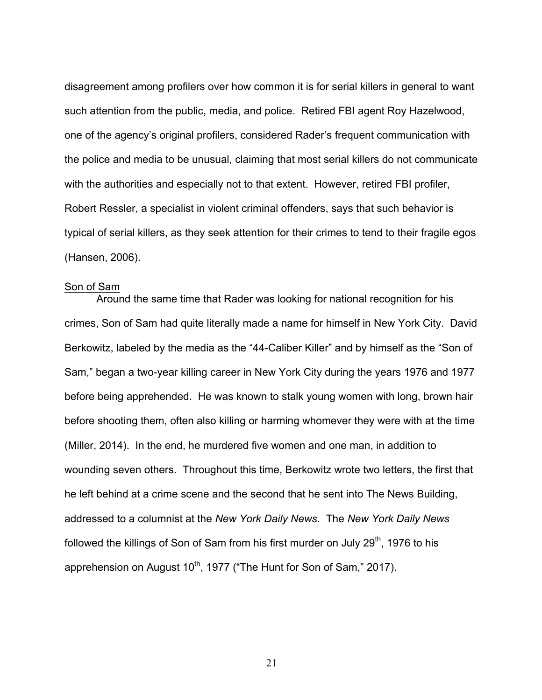disagreement among profilers over how common it is for serial killers in general to want such attention from the public, media, and police. Retired FBI agent Roy Hazelwood, one of the agency's original profilers, considered Rader's frequent communication with the police and media to be unusual, claiming that most serial killers do not communicate with the authorities and especially not to that extent. However, retired FBI profiler, Robert Ressler, a specialist in violent criminal offenders, says that such behavior is typical of serial killers, as they seek attention for their crimes to tend to their fragile egos (Hansen, 2006).

#### Son of Sam

Around the same time that Rader was looking for national recognition for his crimes, Son of Sam had quite literally made a name for himself in New York City. David Berkowitz, labeled by the media as the "44-Caliber Killer" and by himself as the "Son of Sam," began a two-year killing career in New York City during the years 1976 and 1977 before being apprehended. He was known to stalk young women with long, brown hair before shooting them, often also killing or harming whomever they were with at the time (Miller, 2014). In the end, he murdered five women and one man, in addition to wounding seven others. Throughout this time, Berkowitz wrote two letters, the first that he left behind at a crime scene and the second that he sent into The News Building, addressed to a columnist at the *New York Daily News*. The *New York Daily News* followed the killings of Son of Sam from his first murder on July  $29<sup>th</sup>$ , 1976 to his apprehension on August  $10^{th}$ , 1977 ("The Hunt for Son of Sam," 2017).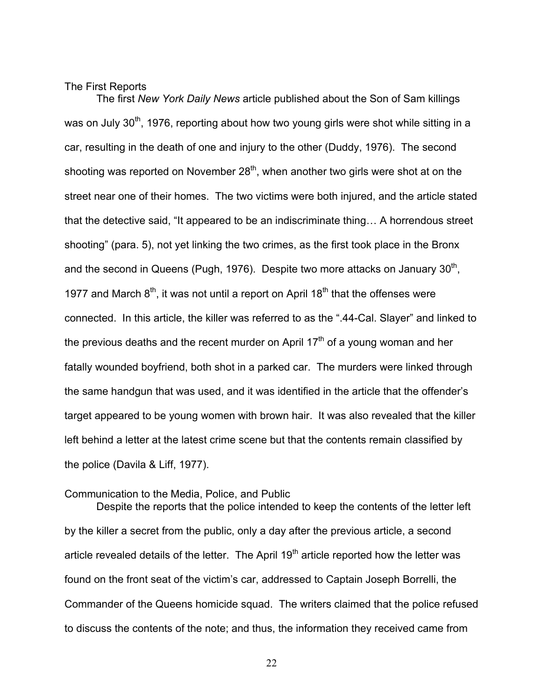#### The First Reports

The first *New York Daily News* article published about the Son of Sam killings was on July  $30<sup>th</sup>$ , 1976, reporting about how two young girls were shot while sitting in a car, resulting in the death of one and injury to the other (Duddy, 1976). The second shooting was reported on November  $28<sup>th</sup>$ , when another two girls were shot at on the street near one of their homes. The two victims were both injured, and the article stated that the detective said, "It appeared to be an indiscriminate thing… A horrendous street shooting" (para. 5), not yet linking the two crimes, as the first took place in the Bronx and the second in Queens (Pugh, 1976). Despite two more attacks on January  $30<sup>th</sup>$ , 1977 and March  $8<sup>th</sup>$ , it was not until a report on April 18<sup>th</sup> that the offenses were connected. In this article, the killer was referred to as the ".44-Cal. Slayer" and linked to the previous deaths and the recent murder on April  $17<sup>th</sup>$  of a young woman and her fatally wounded boyfriend, both shot in a parked car. The murders were linked through the same handgun that was used, and it was identified in the article that the offender's target appeared to be young women with brown hair. It was also revealed that the killer left behind a letter at the latest crime scene but that the contents remain classified by the police (Davila & Liff, 1977).

# Communication to the Media, Police, and Public

Despite the reports that the police intended to keep the contents of the letter left by the killer a secret from the public, only a day after the previous article, a second article revealed details of the letter. The April  $19<sup>th</sup>$  article reported how the letter was found on the front seat of the victim's car, addressed to Captain Joseph Borrelli, the Commander of the Queens homicide squad. The writers claimed that the police refused to discuss the contents of the note; and thus, the information they received came from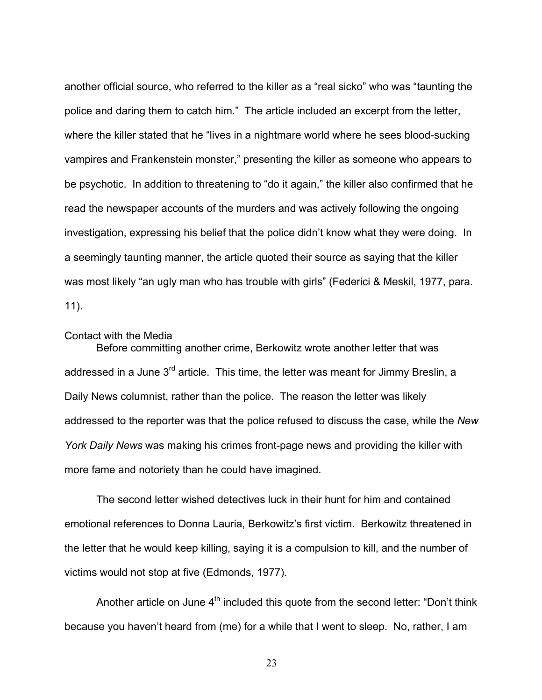another official source, who referred to the killer as a "real sicko" who was "taunting the police and daring them to catch him." The article included an excerpt from the letter, where the killer stated that he "lives in a nightmare world where he sees blood-sucking vampires and Frankenstein monster," presenting the killer as someone who appears to be psychotic. In addition to threatening to "do it again," the killer also confirmed that he read the newspaper accounts of the murders and was actively following the ongoing investigation, expressing his belief that the police didn't know what they were doing. In a seemingly taunting manner, the article quoted their source as saying that the killer was most likely "an ugly man who has trouble with girls" (Federici & Meskil, 1977, para. 11).

# Contact with the Media

Before committing another crime, Berkowitz wrote another letter that was addressed in a June 3<sup>rd</sup> article. This time, the letter was meant for Jimmy Breslin, a Daily News columnist, rather than the police. The reason the letter was likely addressed to the reporter was that the police refused to discuss the case, while the *New York Daily News* was making his crimes front-page news and providing the killer with more fame and notoriety than he could have imagined.

The second letter wished detectives luck in their hunt for him and contained emotional references to Donna Lauria, Berkowitz's first victim. Berkowitz threatened in the letter that he would keep killing, saying it is a compulsion to kill, and the number of victims would not stop at five (Edmonds, 1977).

Another article on June 4<sup>th</sup> included this quote from the second letter: "Don't think because you haven't heard from (me) for a while that I went to sleep. No, rather, I am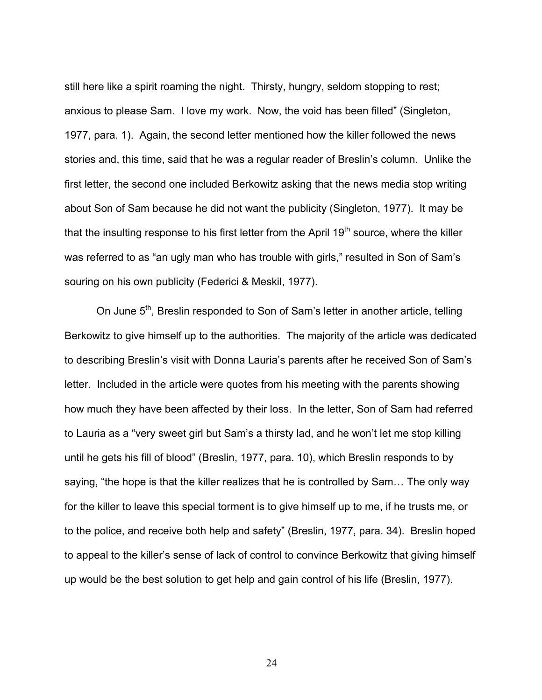still here like a spirit roaming the night. Thirsty, hungry, seldom stopping to rest; anxious to please Sam. I love my work. Now, the void has been filled" (Singleton, 1977, para. 1). Again, the second letter mentioned how the killer followed the news stories and, this time, said that he was a regular reader of Breslin's column. Unlike the first letter, the second one included Berkowitz asking that the news media stop writing about Son of Sam because he did not want the publicity (Singleton, 1977). It may be that the insulting response to his first letter from the April  $19<sup>th</sup>$  source, where the killer was referred to as "an ugly man who has trouble with girls," resulted in Son of Sam's souring on his own publicity (Federici & Meskil, 1977).

On June 5<sup>th</sup>, Breslin responded to Son of Sam's letter in another article, telling Berkowitz to give himself up to the authorities. The majority of the article was dedicated to describing Breslin's visit with Donna Lauria's parents after he received Son of Sam's letter. Included in the article were quotes from his meeting with the parents showing how much they have been affected by their loss. In the letter, Son of Sam had referred to Lauria as a "very sweet girl but Sam's a thirsty lad, and he won't let me stop killing until he gets his fill of blood" (Breslin, 1977, para. 10), which Breslin responds to by saying, "the hope is that the killer realizes that he is controlled by Sam… The only way for the killer to leave this special torment is to give himself up to me, if he trusts me, or to the police, and receive both help and safety" (Breslin, 1977, para. 34). Breslin hoped to appeal to the killer's sense of lack of control to convince Berkowitz that giving himself up would be the best solution to get help and gain control of his life (Breslin, 1977).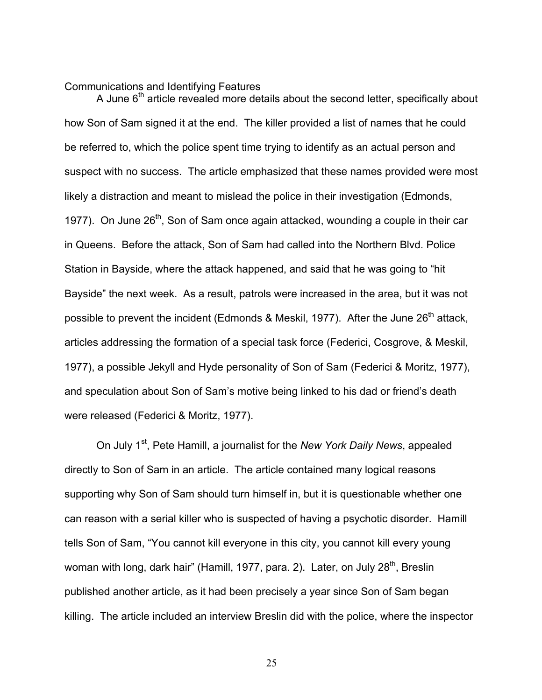## Communications and Identifying Features

A June  $6<sup>th</sup>$  article revealed more details about the second letter, specifically about how Son of Sam signed it at the end. The killer provided a list of names that he could be referred to, which the police spent time trying to identify as an actual person and suspect with no success. The article emphasized that these names provided were most likely a distraction and meant to mislead the police in their investigation (Edmonds, 1977). On June  $26<sup>th</sup>$ , Son of Sam once again attacked, wounding a couple in their car in Queens. Before the attack, Son of Sam had called into the Northern Blvd. Police Station in Bayside, where the attack happened, and said that he was going to "hit Bayside" the next week. As a result, patrols were increased in the area, but it was not possible to prevent the incident (Edmonds & Meskil, 1977). After the June 26<sup>th</sup> attack, articles addressing the formation of a special task force (Federici, Cosgrove, & Meskil, 1977), a possible Jekyll and Hyde personality of Son of Sam (Federici & Moritz, 1977), and speculation about Son of Sam's motive being linked to his dad or friend's death were released (Federici & Moritz, 1977).

On July 1st, Pete Hamill, a journalist for the *New York Daily News*, appealed directly to Son of Sam in an article. The article contained many logical reasons supporting why Son of Sam should turn himself in, but it is questionable whether one can reason with a serial killer who is suspected of having a psychotic disorder. Hamill tells Son of Sam, "You cannot kill everyone in this city, you cannot kill every young woman with long, dark hair" (Hamill, 1977, para. 2). Later, on July 28<sup>th</sup>, Breslin published another article, as it had been precisely a year since Son of Sam began killing. The article included an interview Breslin did with the police, where the inspector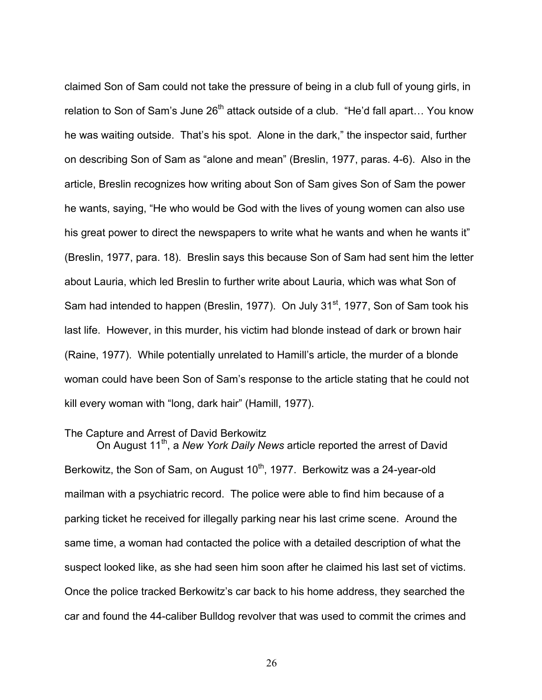claimed Son of Sam could not take the pressure of being in a club full of young girls, in relation to Son of Sam's June  $26<sup>th</sup>$  attack outside of a club. "He'd fall apart... You know he was waiting outside. That's his spot. Alone in the dark," the inspector said, further on describing Son of Sam as "alone and mean" (Breslin, 1977, paras. 4-6). Also in the article, Breslin recognizes how writing about Son of Sam gives Son of Sam the power he wants, saying, "He who would be God with the lives of young women can also use his great power to direct the newspapers to write what he wants and when he wants it" (Breslin, 1977, para. 18). Breslin says this because Son of Sam had sent him the letter about Lauria, which led Breslin to further write about Lauria, which was what Son of Sam had intended to happen (Breslin, 1977). On July 31<sup>st</sup>, 1977, Son of Sam took his last life. However, in this murder, his victim had blonde instead of dark or brown hair (Raine, 1977). While potentially unrelated to Hamill's article, the murder of a blonde woman could have been Son of Sam's response to the article stating that he could not kill every woman with "long, dark hair" (Hamill, 1977).

# The Capture and Arrest of David Berkowitz

On August 11th, a *New York Daily News* article reported the arrest of David Berkowitz, the Son of Sam, on August 10<sup>th</sup>, 1977. Berkowitz was a 24-year-old mailman with a psychiatric record. The police were able to find him because of a parking ticket he received for illegally parking near his last crime scene. Around the same time, a woman had contacted the police with a detailed description of what the suspect looked like, as she had seen him soon after he claimed his last set of victims. Once the police tracked Berkowitz's car back to his home address, they searched the car and found the 44-caliber Bulldog revolver that was used to commit the crimes and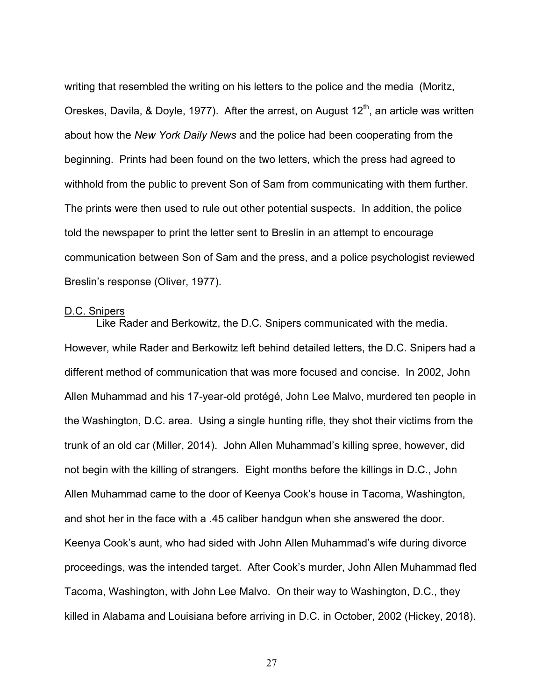writing that resembled the writing on his letters to the police and the media (Moritz, Oreskes, Davila, & Doyle, 1977). After the arrest, on August  $12<sup>th</sup>$ , an article was written about how the *New York Daily News* and the police had been cooperating from the beginning. Prints had been found on the two letters, which the press had agreed to withhold from the public to prevent Son of Sam from communicating with them further. The prints were then used to rule out other potential suspects. In addition, the police told the newspaper to print the letter sent to Breslin in an attempt to encourage communication between Son of Sam and the press, and a police psychologist reviewed Breslin's response (Oliver, 1977).

# D.C. Snipers

Like Rader and Berkowitz, the D.C. Snipers communicated with the media. However, while Rader and Berkowitz left behind detailed letters, the D.C. Snipers had a different method of communication that was more focused and concise. In 2002, John Allen Muhammad and his 17-year-old protégé, John Lee Malvo, murdered ten people in the Washington, D.C. area. Using a single hunting rifle, they shot their victims from the trunk of an old car (Miller, 2014). John Allen Muhammad's killing spree, however, did not begin with the killing of strangers. Eight months before the killings in D.C., John Allen Muhammad came to the door of Keenya Cook's house in Tacoma, Washington, and shot her in the face with a .45 caliber handgun when she answered the door. Keenya Cook's aunt, who had sided with John Allen Muhammad's wife during divorce proceedings, was the intended target. After Cook's murder, John Allen Muhammad fled Tacoma, Washington, with John Lee Malvo. On their way to Washington, D.C., they killed in Alabama and Louisiana before arriving in D.C. in October, 2002 (Hickey, 2018).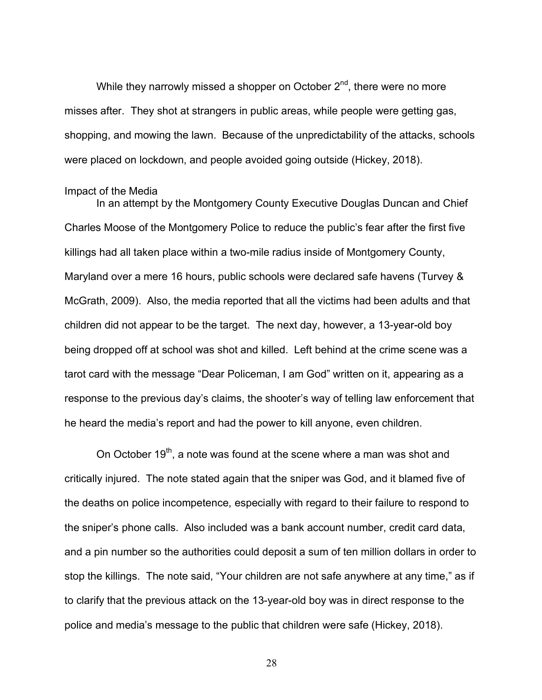While they narrowly missed a shopper on October  $2<sup>nd</sup>$ , there were no more misses after. They shot at strangers in public areas, while people were getting gas, shopping, and mowing the lawn. Because of the unpredictability of the attacks, schools were placed on lockdown, and people avoided going outside (Hickey, 2018).

### Impact of the Media

In an attempt by the Montgomery County Executive Douglas Duncan and Chief Charles Moose of the Montgomery Police to reduce the public's fear after the first five killings had all taken place within a two-mile radius inside of Montgomery County, Maryland over a mere 16 hours, public schools were declared safe havens (Turvey & McGrath, 2009). Also, the media reported that all the victims had been adults and that children did not appear to be the target. The next day, however, a 13-year-old boy being dropped off at school was shot and killed. Left behind at the crime scene was a tarot card with the message "Dear Policeman, I am God" written on it, appearing as a response to the previous day's claims, the shooter's way of telling law enforcement that he heard the media's report and had the power to kill anyone, even children.

On October  $19<sup>th</sup>$ , a note was found at the scene where a man was shot and critically injured. The note stated again that the sniper was God, and it blamed five of the deaths on police incompetence, especially with regard to their failure to respond to the sniper's phone calls. Also included was a bank account number, credit card data, and a pin number so the authorities could deposit a sum of ten million dollars in order to stop the killings. The note said, "Your children are not safe anywhere at any time," as if to clarify that the previous attack on the 13-year-old boy was in direct response to the police and media's message to the public that children were safe (Hickey, 2018).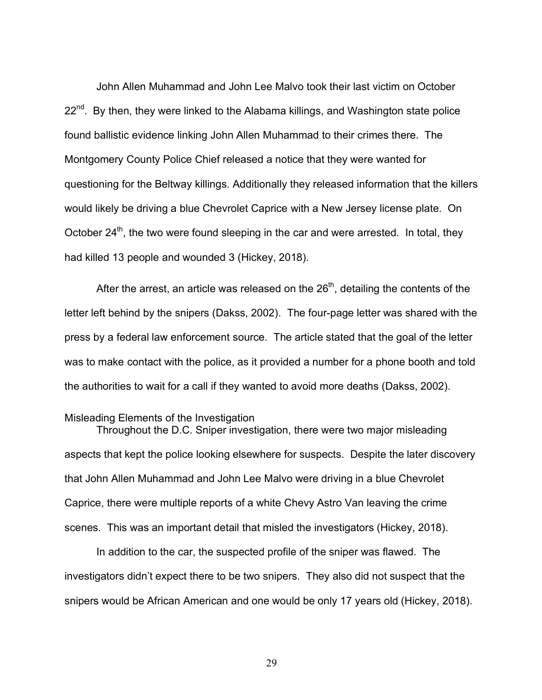John Allen Muhammad and John Lee Malvo took their last victim on October  $22^{nd}$ . By then, they were linked to the Alabama killings, and Washington state police found ballistic evidence linking John Allen Muhammad to their crimes there. The Montgomery County Police Chief released a notice that they were wanted for questioning for the Beltway killings. Additionally they released information that the killers would likely be driving a blue Chevrolet Caprice with a New Jersey license plate. On October 24<sup>th</sup>, the two were found sleeping in the car and were arrested. In total, they had killed 13 people and wounded 3 (Hickey, 2018).

After the arrest, an article was released on the  $26<sup>th</sup>$ , detailing the contents of the letter left behind by the snipers (Dakss, 2002). The four-page letter was shared with the press by a federal law enforcement source. The article stated that the goal of the letter was to make contact with the police, as it provided a number for a phone booth and told the authorities to wait for a call if they wanted to avoid more deaths (Dakss, 2002).

# Misleading Elements of the Investigation

Throughout the D.C. Sniper investigation, there were two major misleading aspects that kept the police looking elsewhere for suspects. Despite the later discovery that John Allen Muhammad and John Lee Malvo were driving in a blue Chevrolet Caprice, there were multiple reports of a white Chevy Astro Van leaving the crime scenes. This was an important detail that misled the investigators (Hickey, 2018).

In addition to the car, the suspected profile of the sniper was flawed. The investigators didn't expect there to be two snipers. They also did not suspect that the snipers would be African American and one would be only 17 years old (Hickey, 2018).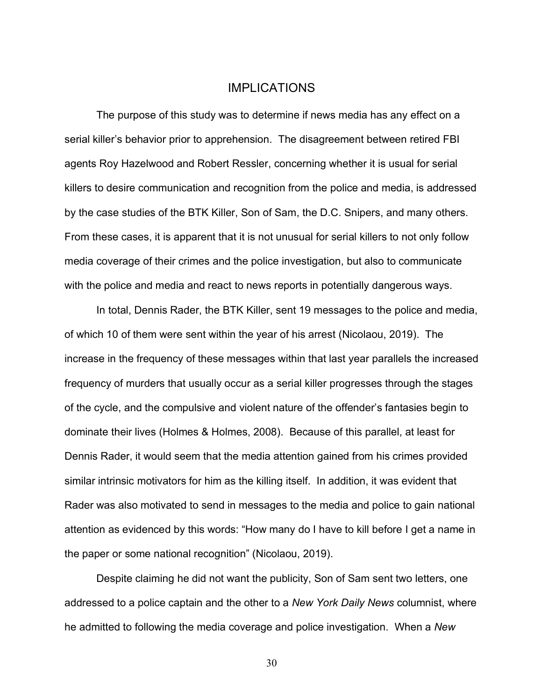# IMPLICATIONS

The purpose of this study was to determine if news media has any effect on a serial killer's behavior prior to apprehension. The disagreement between retired FBI agents Roy Hazelwood and Robert Ressler, concerning whether it is usual for serial killers to desire communication and recognition from the police and media, is addressed by the case studies of the BTK Killer, Son of Sam, the D.C. Snipers, and many others. From these cases, it is apparent that it is not unusual for serial killers to not only follow media coverage of their crimes and the police investigation, but also to communicate with the police and media and react to news reports in potentially dangerous ways.

In total, Dennis Rader, the BTK Killer, sent 19 messages to the police and media, of which 10 of them were sent within the year of his arrest (Nicolaou, 2019). The increase in the frequency of these messages within that last year parallels the increased frequency of murders that usually occur as a serial killer progresses through the stages of the cycle, and the compulsive and violent nature of the offender's fantasies begin to dominate their lives (Holmes & Holmes, 2008). Because of this parallel, at least for Dennis Rader, it would seem that the media attention gained from his crimes provided similar intrinsic motivators for him as the killing itself. In addition, it was evident that Rader was also motivated to send in messages to the media and police to gain national attention as evidenced by this words: "How many do I have to kill before I get a name in the paper or some national recognition" (Nicolaou, 2019).

Despite claiming he did not want the publicity, Son of Sam sent two letters, one addressed to a police captain and the other to a *New York Daily News* columnist, where he admitted to following the media coverage and police investigation. When a *New*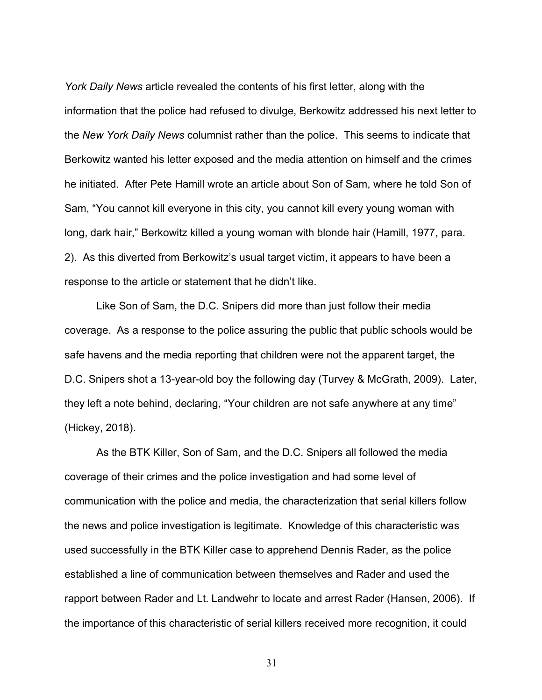*York Daily News* article revealed the contents of his first letter, along with the information that the police had refused to divulge, Berkowitz addressed his next letter to the *New York Daily News* columnist rather than the police. This seems to indicate that Berkowitz wanted his letter exposed and the media attention on himself and the crimes he initiated. After Pete Hamill wrote an article about Son of Sam, where he told Son of Sam, "You cannot kill everyone in this city, you cannot kill every young woman with long, dark hair," Berkowitz killed a young woman with blonde hair (Hamill, 1977, para. 2). As this diverted from Berkowitz's usual target victim, it appears to have been a response to the article or statement that he didn't like.

Like Son of Sam, the D.C. Snipers did more than just follow their media coverage. As a response to the police assuring the public that public schools would be safe havens and the media reporting that children were not the apparent target, the D.C. Snipers shot a 13-year-old boy the following day (Turvey & McGrath, 2009). Later, they left a note behind, declaring, "Your children are not safe anywhere at any time" (Hickey, 2018).

As the BTK Killer, Son of Sam, and the D.C. Snipers all followed the media coverage of their crimes and the police investigation and had some level of communication with the police and media, the characterization that serial killers follow the news and police investigation is legitimate. Knowledge of this characteristic was used successfully in the BTK Killer case to apprehend Dennis Rader, as the police established a line of communication between themselves and Rader and used the rapport between Rader and Lt. Landwehr to locate and arrest Rader (Hansen, 2006). If the importance of this characteristic of serial killers received more recognition, it could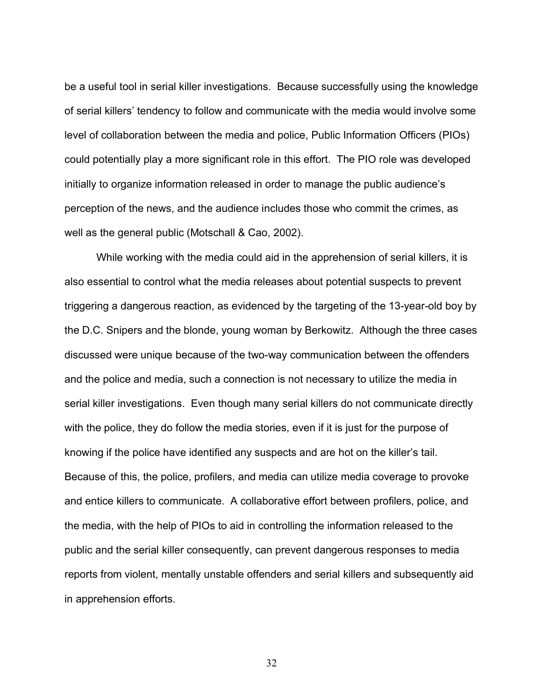be a useful tool in serial killer investigations. Because successfully using the knowledge of serial killers' tendency to follow and communicate with the media would involve some level of collaboration between the media and police, Public Information Officers (PIOs) could potentially play a more significant role in this effort. The PIO role was developed initially to organize information released in order to manage the public audience's perception of the news, and the audience includes those who commit the crimes, as well as the general public (Motschall & Cao, 2002).

While working with the media could aid in the apprehension of serial killers, it is also essential to control what the media releases about potential suspects to prevent triggering a dangerous reaction, as evidenced by the targeting of the 13-year-old boy by the D.C. Snipers and the blonde, young woman by Berkowitz. Although the three cases discussed were unique because of the two-way communication between the offenders and the police and media, such a connection is not necessary to utilize the media in serial killer investigations. Even though many serial killers do not communicate directly with the police, they do follow the media stories, even if it is just for the purpose of knowing if the police have identified any suspects and are hot on the killer's tail. Because of this, the police, profilers, and media can utilize media coverage to provoke and entice killers to communicate. A collaborative effort between profilers, police, and the media, with the help of PIOs to aid in controlling the information released to the public and the serial killer consequently, can prevent dangerous responses to media reports from violent, mentally unstable offenders and serial killers and subsequently aid in apprehension efforts.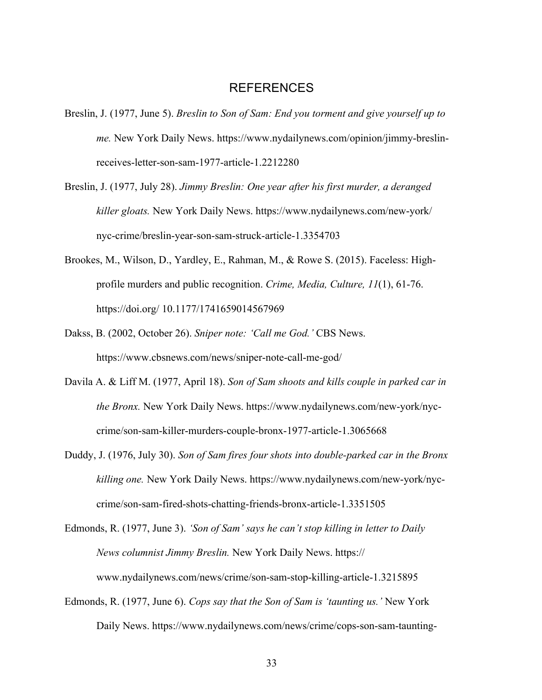# REFERENCES

- Breslin, J. (1977, June 5). *Breslin to Son of Sam: End you torment and give yourself up to me.* New York Daily News. https://www.nydailynews.com/opinion/jimmy-breslinreceives-letter-son-sam-1977-article-1.2212280
- Breslin, J. (1977, July 28). *Jimmy Breslin: One year after his first murder, a deranged killer gloats.* New York Daily News. https://www.nydailynews.com/new-york/ nyc-crime/breslin-year-son-sam-struck-article-1.3354703
- Brookes, M., Wilson, D., Yardley, E., Rahman, M., & Rowe S. (2015). Faceless: Highprofile murders and public recognition. *Crime, Media, Culture, 11*(1), 61-76. https://doi.org/ 10.1177/1741659014567969
- Dakss, B. (2002, October 26). *Sniper note: 'Call me God.'* CBS News. https://www.cbsnews.com/news/sniper-note-call-me-god/
- Davila A. & Liff M. (1977, April 18). *Son of Sam shoots and kills couple in parked car in the Bronx.* New York Daily News. https://www.nydailynews.com/new-york/nyccrime/son-sam-killer-murders-couple-bronx-1977-article-1.3065668
- Duddy, J. (1976, July 30). *Son of Sam fires four shots into double-parked car in the Bronx killing one.* New York Daily News. https://www.nydailynews.com/new-york/nyccrime/son-sam-fired-shots-chatting-friends-bronx-article-1.3351505
- Edmonds, R. (1977, June 3). *'Son of Sam' says he can't stop killing in letter to Daily News columnist Jimmy Breslin.* New York Daily News. https:// www.nydailynews.com/news/crime/son-sam-stop-killing-article-1.3215895
- Edmonds, R. (1977, June 6). *Cops say that the Son of Sam is 'taunting us.'* New York Daily News. https://www.nydailynews.com/news/crime/cops-son-sam-taunting-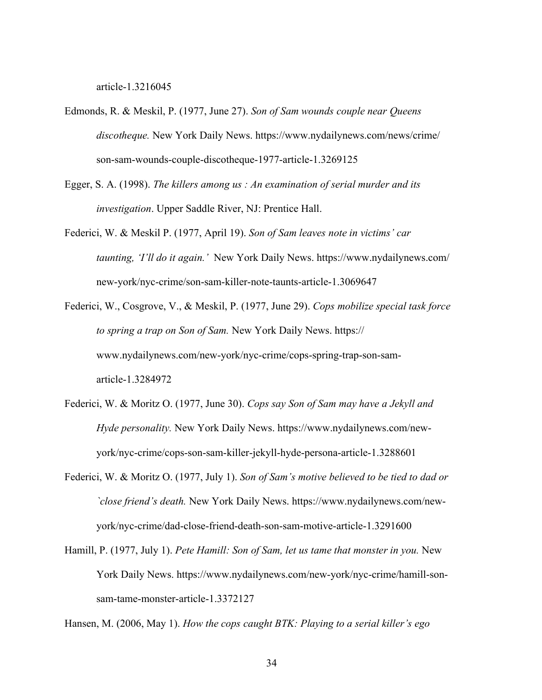article-1.3216045

- Edmonds, R. & Meskil, P. (1977, June 27). *Son of Sam wounds couple near Queens discotheque.* New York Daily News. https://www.nydailynews.com/news/crime/ son-sam-wounds-couple-discotheque-1977-article-1.3269125
- Egger, S. A. (1998). *The killers among us : An examination of serial murder and its investigation*. Upper Saddle River, NJ: Prentice Hall.
- Federici, W. & Meskil P. (1977, April 19). *Son of Sam leaves note in victims' car taunting, 'I'll do it again.'* New York Daily News. https://www.nydailynews.com/ new-york/nyc-crime/son-sam-killer-note-taunts-article-1.3069647
- Federici, W., Cosgrove, V., & Meskil, P. (1977, June 29). *Cops mobilize special task force to spring a trap on Son of Sam.* New York Daily News. https:// www.nydailynews.com/new-york/nyc-crime/cops-spring-trap-son-samarticle-1.3284972
- Federici, W. & Moritz O. (1977, June 30). *Cops say Son of Sam may have a Jekyll and Hyde personality.* New York Daily News. https://www.nydailynews.com/newyork/nyc-crime/cops-son-sam-killer-jekyll-hyde-persona-article-1.3288601
- Federici, W. & Moritz O. (1977, July 1). *Son of Sam's motive believed to be tied to dad or `close friend's death.* New York Daily News. https://www.nydailynews.com/newyork/nyc-crime/dad-close-friend-death-son-sam-motive-article-1.3291600
- Hamill, P. (1977, July 1). *Pete Hamill: Son of Sam, let us tame that monster in you.* New York Daily News. https://www.nydailynews.com/new-york/nyc-crime/hamill-sonsam-tame-monster-article-1.3372127

Hansen, M. (2006, May 1). *How the cops caught BTK: Playing to a serial killer's ego*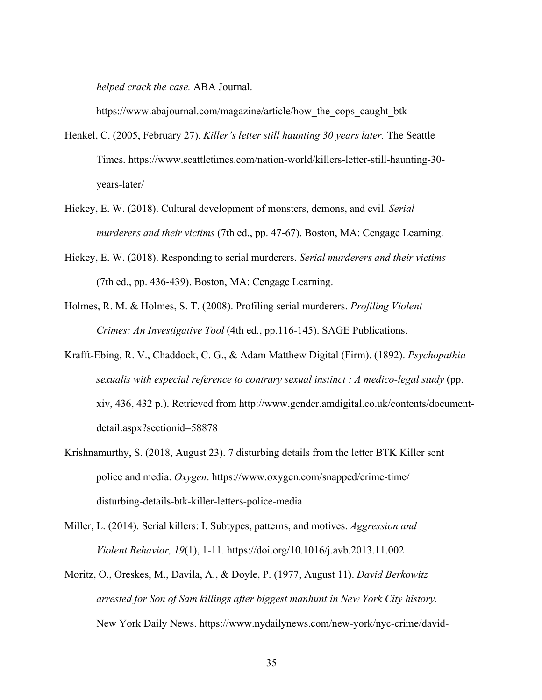*helped crack the case.* ABA Journal.

https://www.abajournal.com/magazine/article/how\_the\_cops\_caught\_btk

- Henkel, C. (2005, February 27). *Killer's letter still haunting 30 years later.* The Seattle Times. https://www.seattletimes.com/nation-world/killers-letter-still-haunting-30 years-later/
- Hickey, E. W. (2018). Cultural development of monsters, demons, and evil. *Serial murderers and their victims* (7th ed., pp. 47-67). Boston, MA: Cengage Learning.
- Hickey, E. W. (2018). Responding to serial murderers. *Serial murderers and their victims* (7th ed., pp. 436-439). Boston, MA: Cengage Learning.
- Holmes, R. M. & Holmes, S. T. (2008). Profiling serial murderers. *Profiling Violent Crimes: An Investigative Tool* (4th ed., pp.116-145). SAGE Publications.
- Krafft-Ebing, R. V., Chaddock, C. G., & Adam Matthew Digital (Firm). (1892). *Psychopathia sexualis with especial reference to contrary sexual instinct : A medico-legal study* (pp. xiv, 436, 432 p.). Retrieved from http://www.gender.amdigital.co.uk/contents/documentdetail.aspx?sectionid=58878
- Krishnamurthy, S. (2018, August 23). 7 disturbing details from the letter BTK Killer sent police and media. *Oxygen*. https://www.oxygen.com/snapped/crime-time/ disturbing-details-btk-killer-letters-police-media
- Miller, L. (2014). Serial killers: I. Subtypes, patterns, and motives. *Aggression and Violent Behavior, 19*(1), 1-11. https://doi.org/10.1016/j.avb.2013.11.002
- Moritz, O., Oreskes, M., Davila, A., & Doyle, P. (1977, August 11). *David Berkowitz arrested for Son of Sam killings after biggest manhunt in New York City history.* New York Daily News. https://www.nydailynews.com/new-york/nyc-crime/david-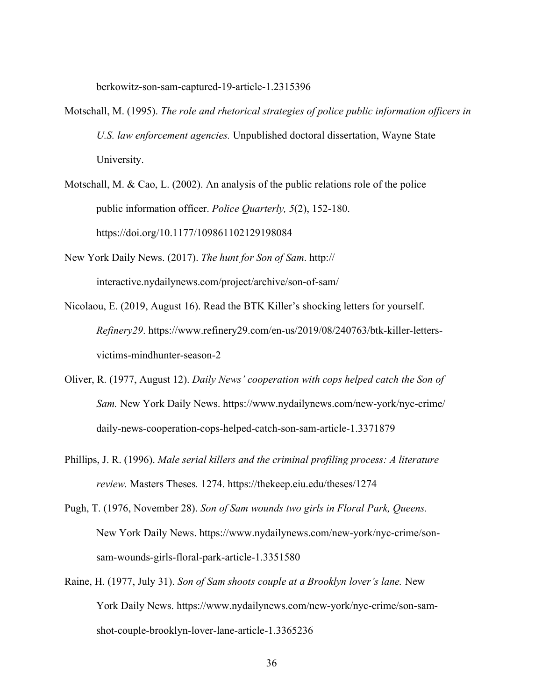berkowitz-son-sam-captured-19-article-1.2315396

- Motschall, M. (1995). *The role and rhetorical strategies of police public information officers in U.S. law enforcement agencies.* Unpublished doctoral dissertation, Wayne State University.
- Motschall, M. & Cao, L. (2002). An analysis of the public relations role of the police public information officer. *Police Quarterly, 5*(2), 152-180. https://doi.org/10.1177/109861102129198084
- New York Daily News. (2017). *The hunt for Son of Sam*. http:// interactive.nydailynews.com/project/archive/son-of-sam/
- Nicolaou, E. (2019, August 16). Read the BTK Killer's shocking letters for yourself. *Refinery29*. https://www.refinery29.com/en-us/2019/08/240763/btk-killer-lettersvictims-mindhunter-season-2
- Oliver, R. (1977, August 12). *Daily News' cooperation with cops helped catch the Son of Sam.* New York Daily News. https://www.nydailynews.com/new-york/nyc-crime/ daily-news-cooperation-cops-helped-catch-son-sam-article-1.3371879
- Phillips, J. R. (1996). *Male serial killers and the criminal profiling process: A literature review.* Masters Theses*.* 1274. https://thekeep.eiu.edu/theses/1274
- Pugh, T. (1976, November 28). *Son of Sam wounds two girls in Floral Park, Queens.* New York Daily News. https://www.nydailynews.com/new-york/nyc-crime/sonsam-wounds-girls-floral-park-article-1.3351580
- Raine, H. (1977, July 31). *Son of Sam shoots couple at a Brooklyn lover's lane.* New York Daily News. https://www.nydailynews.com/new-york/nyc-crime/son-samshot-couple-brooklyn-lover-lane-article-1.3365236